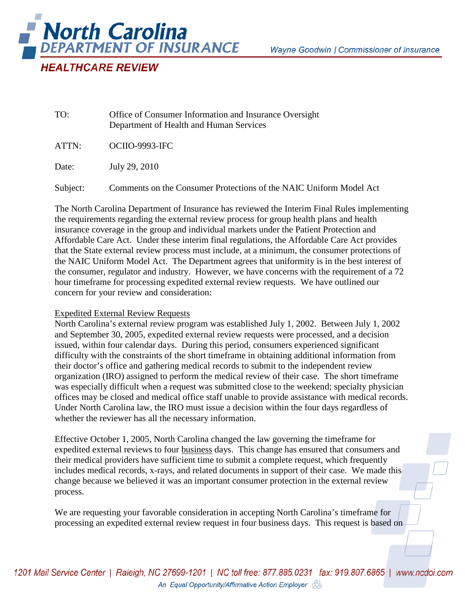

TO: Office of Consumer Information and Insurance Oversight Department of Health and Human Services

ATTN: OCIIO-9993-IFC

Date: July 29, 2010

Subject: Comments on the Consumer Protections of the NAIC Uniform Model Act

The North Carolina Department of Insurance has reviewed the Interim Final Rules implementing the requirements regarding the external review process for group health plans and health insurance coverage in the group and individual markets under the Patient Protection and Affordable Care Act. Under these interim final regulations, the Affordable Care Act provides that the State external review process must include, at a minimum, the consumer protections of the NAIC Uniform Model Act. The Department agrees that uniformity is in the best interest of the consumer, regulator and industry. However, we have concerns with the requirement of a 72 hour timeframe for processing expedited external review requests. We have outlined our concern for your review and consideration:

## Expedited External Review Requests

North Carolina's external review program was established July 1, 2002. Between July 1, 2002 and September 30, 2005, expedited external review requests were processed, and a decision issued, within four calendar days. During this period, consumers experienced significant difficulty with the constraints of the short timeframe in obtaining additional information from their doctor's office and gathering medical records to submit to the independent review organization (IRO) assigned to perform the medical review of their case. The short timeframe was especially difficult when a request was submitted close to the weekend; specialty physician offices may be closed and medical office staff unable to provide assistance with medical records. Under North Carolina law, the IRO must issue a decision within the four days regardless of whether the reviewer has all the necessary information.

Effective October 1, 2005, North Carolina changed the law governing the timeframe for expedited external reviews to four business days. This change has ensured that consumers and their medical providers have sufficient time to submit a complete request, which frequently includes medical records, x-rays, and related documents in support of their case. We made this change because we believed it was an important consumer protection in the external review process.

We are requesting your favorable consideration in accepting North Carolina's timeframe for processing an expedited external review request in four business days. This request is based on